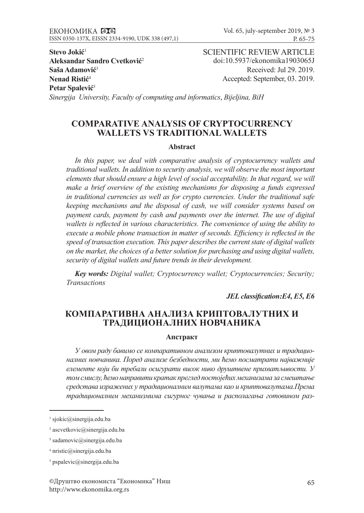**Stevo Jokić**<sup>1</sup> **Aleksandar Sandro Cvetković**<sup>2</sup> **Saša Adamović**<sup>3</sup> **Nenad Ristić**<sup>4</sup> **Petar Spalević**<sup>5</sup>

SCIENTIFIC REVIEW ARTICLE doi:10.5937/ekonomika1903065J Received: Jul 29. 2019. Accepted: September, 03. 2019.

*Sinergija University, Faculty of computing and informatics*, *Bijeljina, BiH*

# **COMPARATIVE ANALYSIS OF CRYPTOCURRENCY WALLETS VS TRADITIONAL WALLETS**

#### **Abstract**

*In this paper, we deal with comparative analysis of cryptocurrency wallets and traditional wallets. In addition to security analysis, we will observe the most important elements that should ensure a high level of social acceptability. In that regard, we will make a brief overview of the existing mechanisms for disposing a funds expressed in traditional currencies as well as for crypto currencies. Under the traditional safe keeping mechanisms and the disposal of cash, we will consider systems based on payment cards, payment by cash and payments over the internet. The use of digital wallets is reflected in various characteristics. The convenience of using the ability to execute a mobile phone transaction in matter of seconds. Efficiency is reflected in the speed of transaction execution. This paper describes the current state of digital wallets on the market, the choices of a better solution for purchasing and using digital wallets, security of digital wallets and future trends in their development.* 

*Key words: Digital wallet; Cryptocurrency wallet; Cryptocurrencies; Security; Transactions* 

*JEL classification:E4, E5, E6*

# **КОМПАРАТИВНА АНАЛИЗА КРИПТОВАЛУТНИХ И ТРАДИЦИОНАЛНИХ НОВЧАНИКА**

### **Апстракт**

*У овом раду бавимо се компаративном анализом криптовалутних и традиционалних новчаника. Поред анализе безбедности, ми ћемо посматрати најважније елементе који би требали осигурати висок ниво друштвене прихватљивости. У том смислу, ћемо направити кратак преглед постојећих механизама за смештање средстава изражених у традиционалним валутама као и криптовалутама.Према традиционалним механизмима сигурног чувања и располагања готовином раз-*

 $\frac{1}{1}$  sjokic@sinergija.edu.ba

<sup>2</sup> ascvetkovic@sinergija.edu.ba

<sup>3</sup> sadamovic@sinergija.edu.ba

 $4$  nristic@sinergija.edu.ba

<sup>5</sup> pspalevic@sinergija.edu.ba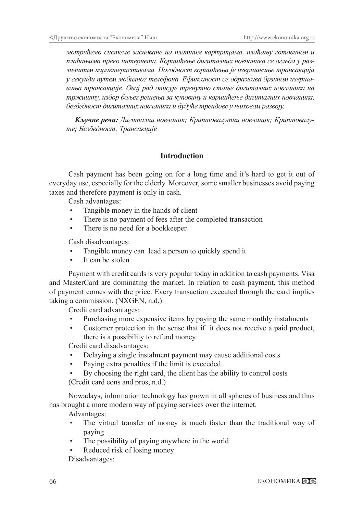*мотрићемо системе засноване на платним картрицама, плаћању готовином и плаћањима преко интернета. Коришћење дигиталних новчаника се огледа у различитим карактеристикама. Погодност коришћења је извршавање трансакција у секунди путем мобилног телефона. Ефиксаност се одражава брзином извршавања трансакције. Овај рад описује тренутно стање дигиталних новчаника на тржишту, избор бољег решења за куповину и коришћење дигиталних новчаника, безбедност дигиталних новчаника и будуће трендове у њиховом развоју.*

*Кључне речи: Дигитални новчаник; Криптовалутни новчаник; Криптовалуте; Безбедност; Трансакције*

# **Introduction**

Cash payment has been going on for a long time and it's hard to get it out of everyday use, especially for the elderly. Moreover, some smaller businesses avoid paying taxes and therefore payment is only in cash.

Cash advantages:

- Tangible money in the hands of client
- There is no payment of fees after the completed transaction
- There is no need for a bookkeeper

Cash disadvantages:

- Tangible money can lead a person to quickly spend it
- It can be stolen

Payment with credit cards is very popular today in addition to cash payments. Visa and MasterCard are dominating the market. In relation to cash payment, this method of payment comes with the price. Every transaction executed through the card implies taking a commission. (NXGEN, n.d.)

Credit card advantages:

- Purchasing more expensive items by paying the same monthly instalments
- Customer protection in the sense that if it does not receive a paid product, there is a possibility to refund money

Credit card disadvantages:

- Delaying a single instalment payment may cause additional costs
- Paying extra penalties if the limit is exceeded
- By choosing the right card, the client has the ability to control costs

(Credit card cons and pros, n.d.)

Nowadays, information technology has grown in all spheres of business and thus has brought a more modern way of paying services over the internet.

Advantages:

- The virtual transfer of money is much faster than the traditional way of paying.
- The possibility of paying anywhere in the world
- Reduced risk of losing money Disadvantages: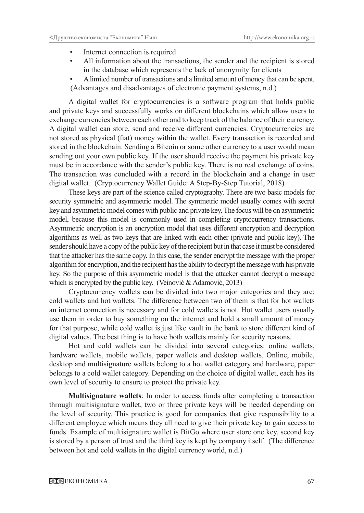- Internet connection is required
- All information about the transactions, the sender and the recipient is stored in the database which represents the lack of anonymity for clients
- A limited number of transactions and a limited amount of money that can be spent. (Advantages and disadvantages of electronic payment systems, n.d.)

A digital wallet for cryptocurrencies is a software program that holds public and private keys and successfully works on different blockchains which allow users to exchange currencies between each other and to keep track of the balance of their currency. A digital wallet can store, send and receive different currencies. Cryptocurrencies are not stored as physical (fiat) money within the wallet. Every transaction is recorded and stored in the blockchain. Sending a Bitcoin or some other currency to a user would mean sending out your own public key. If the user should receive the payment his private key must be in accordance with the sender's public key. There is no real exchange of coins. The transaction was concluded with a record in the blockchain and a change in user digital wallet. (Cryptocurrency Wallet Guide: A Step-By-Step Tutorial, 2018)

These keys are part of the science called cryptography. There are two basic models for security symmetric and asymmetric model. The symmetric model usually comes with secret key and asymmetric model comes with public and private key. The focus will be on asymmetric model, because this model is commonly used in completing cryptocurrency transactions. Asymmetric encryption is an encryption model that uses different encryption and decryption algorithms as well as two keys that are linked with each other (private and public key). The sender should have a copy of the public key of the recipient but in that case it must be considered that the attacker has the same copy. In this case, the sender encrypt the message with the proper algorithm for encryption, and the recipient has the ability to decrypt the message with his private key. So the purpose of this asymmetric model is that the attacker cannot decrypt a message which is encrypted by the public key. (Veinović & Adamović, 2013)

Cryptocurrency wallets can be divided into two major categories and they are: cold wallets and hot wallets. The difference between two of them is that for hot wallets an internet connection is necessary and for cold wallets is not. Hot wallet users usually use them in order to buy something on the internet and hold a small amount of money for that purpose, while cold wallet is just like vault in the bank to store different kind of digital values. The best thing is to have both wallets mainly for security reasons.

Hot and cold wallets can be divided into several categories: online wallets, hardware wallets, mobile wallets, paper wallets and desktop wallets. Online, mobile, desktop and multisignature wallets belong to a hot wallet category and hardware, paper belongs to a cold wallet category. Depending on the choice of digital wallet, each has its own level of security to ensure to protect the private key.

**Multisignature wallets**: In order to access funds after completing a transaction through multisignature wallet, two or three private keys will be needed depending on the level of security. This practice is good for companies that give responsibility to a different employee which means they all need to give their private key to gain access to funds. Example of multisignature wallet is BitGo where user store one key, second key is stored by a person of trust and the third key is kept by company itself. (The difference between hot and cold wallets in the digital currency world, n.d.)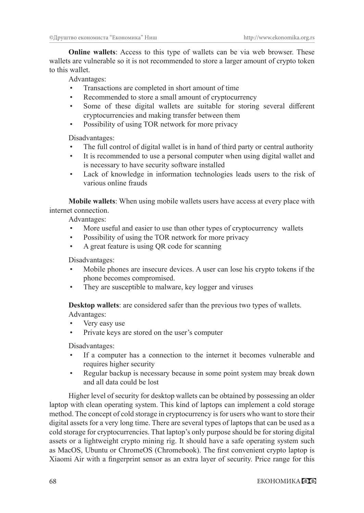**Online wallets**: Access to this type of wallets can be via web browser. These wallets are vulnerable so it is not recommended to store a larger amount of crypto token to this wallet.

Advantages:

- Transactions are completed in short amount of time
- Recommended to store a small amount of cryptocurrency
- Some of these digital wallets are suitable for storing several different cryptocurrencies and making transfer between them
- Possibility of using TOR network for more privacy

Disadvantages:

- The full control of digital wallet is in hand of third party or central authority
- It is recommended to use a personal computer when using digital wallet and is necessary to have security software installed
- Lack of knowledge in information technologies leads users to the risk of various online frauds

**Mobile wallets**: When using mobile wallets users have access at every place with internet connection.

Advantages:

- More useful and easier to use than other types of cryptocurrency wallets
- Possibility of using the TOR network for more privacy
- A great feature is using QR code for scanning

Disadvantages:

- Mobile phones are insecure devices. A user can lose his crypto tokens if the phone becomes compromised.
- They are susceptible to malware, key logger and viruses

**Desktop wallets**: are considered safer than the previous two types of wallets. Advantages:

- Very easy use
- Private keys are stored on the user's computer

Disadvantages:

- If a computer has a connection to the internet it becomes vulnerable and requires higher security
- Regular backup is necessary because in some point system may break down and all data could be lost

Higher level of security for desktop wallets can be obtained by possessing an older laptop with clean operating system. This kind of laptops can implement a cold storage method. The concept of cold storage in cryptocurrency is for users who want to store their digital assets for a very long time. There are several types of laptops that can be used as a cold storage for cryptocurrencies. That laptop's only purpose should be for storing digital assets or a lightweight crypto mining rig. It should have a safe operating system such as MacOS, Ubuntu or ChromeOS (Chromebook). The first convenient crypto laptop is Xiaomi Air with a fingerprint sensor as an extra layer of security. Price range for this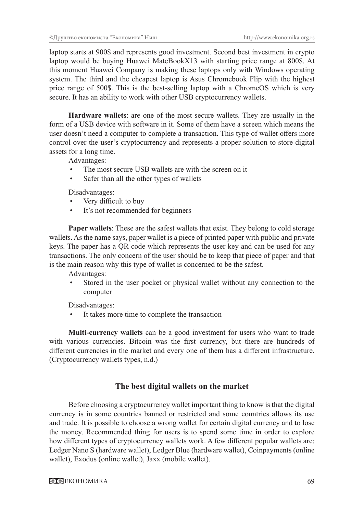laptop starts at 900\$ and represents good investment. Second best investment in crypto laptop would be buying Huawei MateBookX13 with starting price range at 800\$. At this moment Huawei Company is making these laptops only with Windows operating system. The third and the cheapest laptop is Asus Chromebook Flip with the highest price range of 500\$. This is the best-selling laptop with a ChromeOS which is very secure. It has an ability to work with other USB cryptocurrency wallets.

**Hardware wallets**: are one of the most secure wallets. They are usually in the form of a USB device with software in it. Some of them have a screen which means the user doesn't need a computer to complete a transaction. This type of wallet offers more control over the user's cryptocurrency and represents a proper solution to store digital assets for a long time.

Advantages:

- The most secure USB wallets are with the screen on it
- Safer than all the other types of wallets

Disadvantages:

- Very difficult to buy
- It's not recommended for beginners

**Paper wallets**: These are the safest wallets that exist. They belong to cold storage wallets. As the name says, paper wallet is a piece of printed paper with public and private keys. The paper has a QR code which represents the user key and can be used for any transactions. The only concern of the user should be to keep that piece of paper and that is the main reason why this type of wallet is concerned to be the safest.

Advantages:

Stored in the user pocket or physical wallet without any connection to the computer

Disadvantages:

It takes more time to complete the transaction

**Multi-currency wallets** can be a good investment for users who want to trade with various currencies. Bitcoin was the first currency, but there are hundreds of different currencies in the market and every one of them has a different infrastructure. (Cryptocurrency wallets types, n.d.)

### **The best digital wallets on the market**

Before choosing a cryptocurrency wallet important thing to know is that the digital currency is in some countries banned or restricted and some countries allows its use and trade. It is possible to choose a wrong wallet for certain digital currency and to lose the money. Recommended thing for users is to spend some time in order to explore how different types of cryptocurrency wallets work. A few different popular wallets are: Ledger Nano S (hardware wallet), Ledger Blue (hardware wallet), Coinpayments (online wallet), Exodus (online wallet), Jaxx (mobile wallet).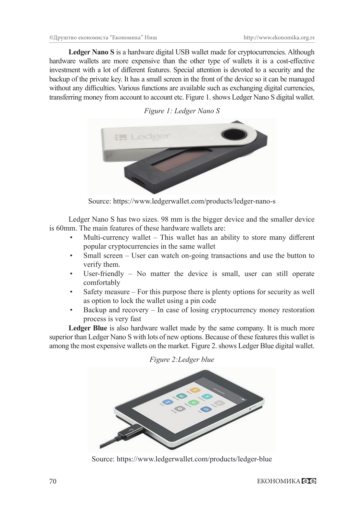**Ledger Nano S** is a hardware digital USB wallet made for cryptocurrencies. Although hardware wallets are more expensive than the other type of wallets it is a cost-effective investment with a lot of different features. Special attention is devoted to a security and the backup of the private key. It has a small screen in the front of the device so it can be managed without any difficulties. Various functions are available such as exchanging digital currencies, transferring money from account to account etc. Figure 1. shows Ledger Nano S digital wallet.





Source: https://www.ledgerwallet.com/products/ledger-nano-s

Ledger Nano S has two sizes. 98 mm is the bigger device and the smaller device is 60mm. The main features of these hardware wallets are:

- Multi-currency wallet  $-$  This wallet has an ability to store many different popular cryptocurrencies in the same wallet
- Small screen User can watch on-going transactions and use the button to verify them.
- User-friendly No matter the device is small, user can still operate comfortably
- Safety measure For this purpose there is plenty options for security as well as option to lock the wallet using a pin code
- Backup and recovery In case of losing cryptocurrency money restoration process is very fast

**Ledger Blue** is also hardware wallet made by the same company. It is much more superior than Ledger Nano S with lots of new options. Because of these features this wallet is among the most expensive wallets on the market. Figure 2. shows Ledger Blue digital wallet.

*Figure 2:Ledger blue*



Source: https://www.ledgerwallet.com/products/ledger-blue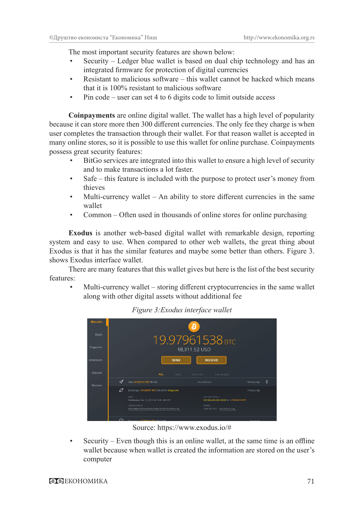The most important security features are shown below:

- Security Ledger blue wallet is based on dual chip technology and has an integrated firmware for protection of digital currencies
- Resistant to malicious software this wallet cannot be hacked which means that it is 100% resistant to malicious software
- Pin code user can set 4 to 6 digits code to limit outside access

**Coinpayments** are online digital wallet. The wallet has a high level of popularity because it can store more then 300 different currencies. The only fee they charge is when user completes the transaction through their wallet. For that reason wallet is accepted in many online stores, so it is possible to use this wallet for online purchase. Coinpayments possess great security features:

- BitGo services are integrated into this wallet to ensure a high level of security and to make transactions a lot faster.
- Safe this feature is included with the purpose to protect user's money from thieves
- Multi-currency wallet  $-$  An ability to store different currencies in the same wallet
- Common Often used in thousands of online stores for online purchasing

**Exodus** is another web-based digital wallet with remarkable design, reporting system and easy to use. When compared to other web wallets, the great thing about Exodus is that it has the similar features and maybe some better than others. Figure 3. shows Exodus interface wallet.

There are many features that this wallet gives but here is the list of the best security features:

• Multi-currency wallet – storing different cryptocurrencies in the same wallet along with other digital assets without additional fee



*Figure 3:Exodus interface wallet*

Source: https://www.exodus.io/#

Security – Even though this is an online wallet, at the same time is an offline wallet because when wallet is created the information are stored on the user's computer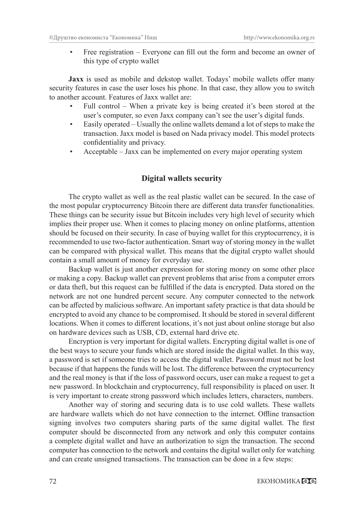Free registration – Everyone can fill out the form and become an owner of this type of crypto wallet

**Jaxx** is used as mobile and dekstop wallet. Todays' mobile wallets offer many security features in case the user loses his phone. In that case, they allow you to switch to another account. Features of Jaxx wallet are:

- Full control When a private key is being created it's been stored at the user's computer, so even Jaxx company can't see the user's digital funds.
- Easily operated Usually the online wallets demand a lot of steps to make the transaction. Jaxx model is based on Nada privacy model. This model protects confidentiality and privacy.
- Acceptable Jaxx can be implemented on every major operating system

## **Digital wallets security**

The crypto wallet as well as the real plastic wallet can be secured. In the case of the most popular cryptocurrency Bitcoin there are different data transfer functionalities. These things can be security issue but Bitcoin includes very high level of security which implies their proper use. When it comes to placing money on online platforms, attention should be focused on their security. In case of buying wallet for this cryptocurrency, it is recommended to use two-factor authentication. Smart way of storing money in the wallet can be compared with physical wallet. This means that the digital crypto wallet should contain a small amount of money for everyday use.

Backup wallet is just another expression for storing money on some other place or making a copy. Backup wallet can prevent problems that arise from a computer errors or data theft, but this request can be fulfilled if the data is encrypted. Data stored on the network are not one hundred percent secure. Any computer connected to the network can be affected by malicious software. An important safety practice is that data should be encrypted to avoid any chance to be compromised. It should be stored in several different locations. When it comes to different locations, it's not just about online storage but also on hardware devices such as USB, CD, external hard drive etc.

Encryption is very important for digital wallets. Encrypting digital wallet is one of the best ways to secure your funds which are stored inside the digital wallet. In this way, a password is set if someone tries to access the digital wallet. Password must not be lost because if that happens the funds will be lost. The difference between the cryptocurrency and the real money is that if the loss of password occurs, user can make a request to get a new password. In blockchain and cryptocurrency, full responsibility is placed on user. It is very important to create strong password which includes letters, characters, numbers.

Another way of storing and securing data is to use cold wallets. These wallets are hardware wallets which do not have connection to the internet. Offline transaction signing involves two computers sharing parts of the same digital wallet. The first computer should be disconnected from any network and only this computer contains a complete digital wallet and have an authorization to sign the transaction. The second computer has connection to the network and contains the digital wallet only for watching and can create unsigned transactions. The transaction can be done in a few steps: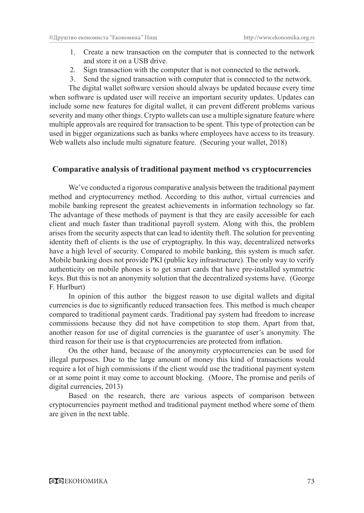- 1. Create a new transaction on the computer that is connected to the network and store it on a USB drive.
- 2. Sign transaction with the computer that is not connected to the network.
- 3. Send the signed transaction with computer that is connected to the network.

The digital wallet software version should always be updated because every time when software is updated user will receive an important security updates. Updates can include some new features for digital wallet, it can prevent different problems various severity and many other things. Crypto wallets can use a multiple signature feature where multiple approvals are required for transaction to be spent. This type of protection can be used in bigger organizations such as banks where employees have access to its treasury. Web wallets also include multi signature feature. (Securing your wallet, 2018)

#### **Comparative analysis of traditional payment method vs cryptocurrencies**

We've conducted a rigorous comparative analysis between the traditional payment method and cryptocurrency method. According to this author, virtual currencies and mobile banking represent the greatest achievements in information technology so far. The advantage of these methods of payment is that they are easily accessible for each client and much faster than traditional payroll system. Along with this, the problem arises from the security aspects that can lead to identity theft. The solution for preventing identity theft of clients is the use of cryptography. In this way, decentralized networks have a high level of security. Compared to mobile banking, this system is much safer. Mobile banking does not provide PKI (public key infrastructure). The only way to verify authenticity on mobile phones is to get smart cards that have pre-installed symmetric keys. But this is not an anonymity solution that the decentralized systems have. (George F. Hurlburt)

In opinion of this author the biggest reason to use digital wallets and digital currencies is due to significantly reduced transaction fees. This method is much cheaper compared to traditional payment cards. Traditional pay system had freedom to increase commissions because they did not have competition to stop them. Apart from that, another reason for use of digital currencies is the guarantee of user's anonymity. The third reason for their use is that cryptocurrencies are protected from inflation.

On the other hand, because of the anonymity cryptocurrencies can be used for illegal purposes. Due to the large amount of money this kind of transactions would require a lot of high commissions if the client would use the traditional payment system or at some point it may come to account blocking. (Moore, The promise and perils of digital currencies, 2013)

Based on the research, there are various aspects of comparison between cryptocurrencies payment method and traditional payment method where some of them are given in the next table.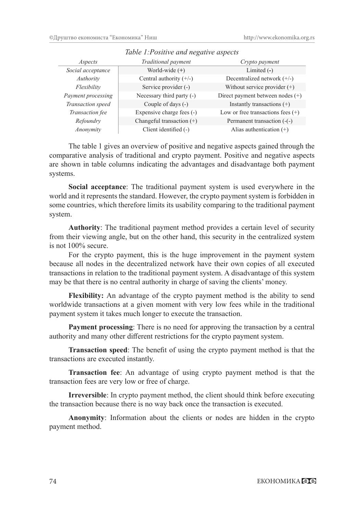| Aspects            | Traditional payment         | Crypto payment                      |
|--------------------|-----------------------------|-------------------------------------|
| Social acceptance  | World-wide $(+)$            | Limited $(-)$                       |
| Authority          | Central authority $(+/-)$   | Decentralized network $(+/-)$       |
| Flexibility        | Service provider (-)        | Without service provider $(+)$      |
| Payment processing | Necessary third party (-)   | Direct payment between nodes $(+)$  |
| Transaction speed  | Couple of days (-)          | Instantly transactions $(+)$        |
| Transaction fee    | Expensive charge fees (-)   | Low or free transactions fees $(+)$ |
| Refoundry          | Changeful transaction $(+)$ | Permanent transaction (-(-)         |
| Anonymity          | Client identified (-)       | Alias authentication $(+)$          |

# *Table 1:Positive and negative aspects*

The table 1 gives an overview of positive and negative aspects gained through the comparative analysis of traditional and crypto payment. Positive and negative aspects are shown in table columns indicating the advantages and disadvantage both payment systems.

**Social acceptance**: The traditional payment system is used everywhere in the world and it represents the standard. However, the crypto payment system is forbidden in some countries, which therefore limits its usability comparing to the traditional payment system.

**Authority**: The traditional payment method provides a certain level of security from their viewing angle, but on the other hand, this security in the centralized system is not 100% secure.

For the crypto payment, this is the huge improvement in the payment system because all nodes in the decentralized network have their own copies of all executed transactions in relation to the traditional payment system. A disadvantage of this system may be that there is no central authority in charge of saving the clients' money.

**Flexibility:** An advantage of the crypto payment method is the ability to send worldwide transactions at a given moment with very low fees while in the traditional payment system it takes much longer to execute the transaction.

**Payment processing**: There is no need for approving the transaction by a central authority and many other different restrictions for the crypto payment system.

**Transaction speed**: The benefit of using the crypto payment method is that the transactions are executed instantly.

**Transaction fee**: An advantage of using crypto payment method is that the transaction fees are very low or free of charge.

**Irreversible**: In crypto payment method, the client should think before executing the transaction because there is no way back once the transaction is executed.

**Anonymity**: Information about the clients or nodes are hidden in the crypto payment method.